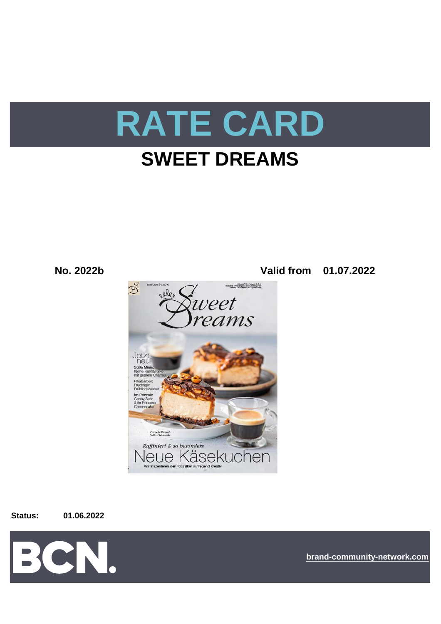

# **SWEET DREAMS**

**No. 2022b Valid from 01.07.2022**



**Status: 01.06.2022**



**[bra](https://bcn.burda.com/)nd-community-network.com**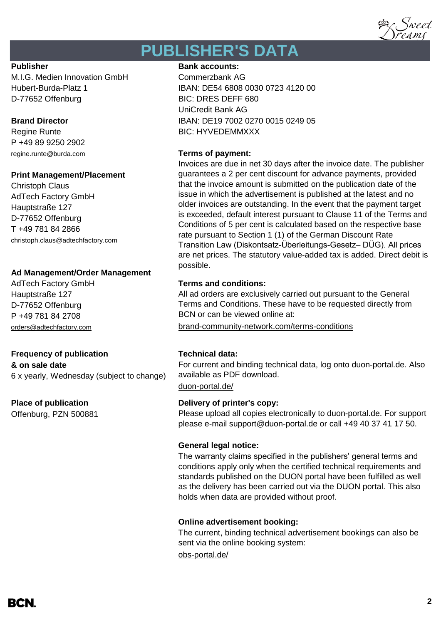

# **PUBLISHER'S DATA**

M.I.G. Medien Innovation GmbH Commerzbank AG D-77652 Offenburg BIC: DRES DEFF 680

P +49 89 9250 2902 [regine.runte@burda.com](mailto:regine.runte@burda.com) **Terms of payment:**

# **Print Management/Placement**

Christoph Claus AdTech Factory GmbH Hauptstraße 127 D-77652 Offenburg T +49 781 84 2866 christoph.claus@adtechfactory.com

# **Ad Management/Order Management**

Hauptstraße 127 D-77652 Offenburg P +49 781 84 2708

# **Frequency of publication Technical data:**

**& on sale date** 6 x yearly, Wednesday (subject to change)

Offenburg, PZN 500881

# **Publisher Bank accounts: Bank accounts:**

Hubert-Burda-Platz 1 IBAN: DE54 6808 0030 0723 4120 00 UniCredit Bank AG **Brand Director IBAN: DE19 7002 0270 0015 0249 05** Regine Runte **BIC: HYVEDEMMXXX** 

Invoices are due in net 30 days after the invoice date. The publisher guarantees a 2 per cent discount for advance payments, provided that the invoice amount is submitted on the publication date of the issue in which the advertisement is published at the latest and no older invoices are outstanding. In the event that the payment target is exceeded, default interest pursuant to Clause 11 of the Terms and Conditions of 5 per cent is calculated based on the respective base rate pursuant to Section 1 (1) of the German Discount Rate Transition Law (Diskontsatz-Überleitungs-Gesetz– DÜG). All prices are net prices. The statutory value-added tax is added. Direct debit is possible.

# AdTech Factory GmbH **Terms and conditions:**

All ad orders are exclusively carried out pursuant to the General Terms and Conditions. These have to be requested directly from BCN or can be viewed online at:

[orders@adtechfactory.com](mailto:orders@adtechfactory.com) [brand-community-network.com/terms-conditions](https://bcn.burda.com/terms-conditions)

For current and binding technical data, log onto duon-portal.de. Also available as PDF download.

[duon-portal.de/](https://duon-portal.de/)

# **Place of publication Delivery of printer's copy:**

Please upload all copies electronically to duon-portal.de. For support please e-mail support@duon-portal.de or call +49 40 37 41 17 50.

# **General legal notice:**

The warranty claims specified in the publishers' general terms and conditions apply only when the certified technical requirements and standards published on the DUON portal have been fulfilled as well as the delivery has been carried out via the DUON portal. This also holds when data are provided without proof.

# **Online advertisement booking:**

The current, binding technical advertisement bookings can also be sent via the online booking system:

## [obs-portal.de/](https://www.obs-portal.de/)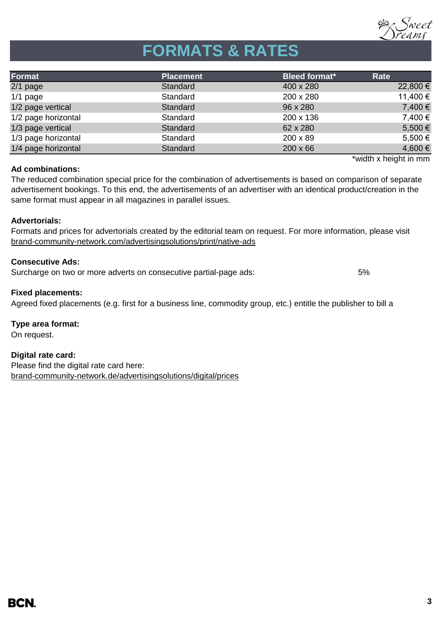

# **FORMATS & RATES**

| Format              | <b>Placement</b> | <b>Bleed format*</b> | Rate                  |
|---------------------|------------------|----------------------|-----------------------|
| $2/1$ page          | Standard         | 400 x 280            | 22,800 €              |
| $1/1$ page          | Standard         | 200 x 280            | 11,400 €              |
| 1/2 page vertical   | Standard         | 96 x 280             | 7,400 €               |
| 1/2 page horizontal | Standard         | 200 x 136            | 7,400 €               |
| 1/3 page vertical   | Standard         | 62 x 280             | 5,500 €               |
| 1/3 page horizontal | Standard         | $200 \times 89$      | 5,500 €               |
| 1/4 page horizontal | Standard         | $200 \times 66$      | 4,600 €               |
|                     |                  |                      | *width x height in mm |

## **Ad combinations:**

The reduced combination special price for the combination of advertisements is based on comparison of separate advertisement bookings. To this end, the advertisements of an advertiser with an identical product/creation in the same format must appear in all magazines in parallel issues.

# **Advertorials:**

[brand-community-network.com/advertisin](https://bcn.burda.com/advertisingsolutions/print/native-ads)gsolutions/print/native-ads Formats and prices for advertorials created by the editorial team on request. For more information, please visit

# **Consecutive Ads:**

Surcharge on two or more adverts on consecutive partial-page ads: 5%

## **Fixed placements:**

Agreed fixed placements (e.g. first for a business line, commodity group, etc.) entitle the publisher to bill a

**Type area format:** On request.

**Digital rate card:** Please find the digital rate card here: [brand-community-network.de/advertisingsolutions/digital/prices](https://bcn.burda.com/advertisingsolutions/digital/prices)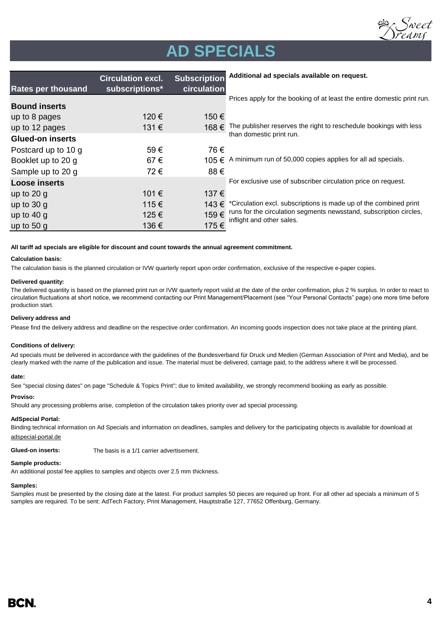

# **AD SPECIALS**

|                           | <b>Circulation excl.</b> | <b>Subscription</b> | Additional ad specials available on request.                                                    |  |
|---------------------------|--------------------------|---------------------|-------------------------------------------------------------------------------------------------|--|
| <b>Rates per thousand</b> | subscriptions*           | circulation         |                                                                                                 |  |
| <b>Bound inserts</b>      |                          |                     | Prices apply for the booking of at least the entire domestic print run.                         |  |
| up to 8 pages             | 120 €                    | 150€                |                                                                                                 |  |
| up to 12 pages            | 131€                     | 168€                | The publisher reserves the right to reschedule bookings with less                               |  |
| <b>Glued-on inserts</b>   |                          |                     | than domestic print run.                                                                        |  |
| Postcard up to 10 g       | 59€                      | 76€                 |                                                                                                 |  |
| Booklet up to 20 g        | 67€                      |                     | 105 € A minimum run of 50,000 copies applies for all ad specials.                               |  |
| Sample up to 20 g         | 72€                      | 88€                 |                                                                                                 |  |
| <b>Loose inserts</b>      |                          |                     | For exclusive use of subscriber circulation price on request.                                   |  |
| up to $20 g$              | 101 €                    | 137€                |                                                                                                 |  |
| up to $30 g$              | 115€                     | 143 €               | *Circulation excl. subscriptions is made up of the combined print                               |  |
| up to $40 g$              | 125€                     | 159€                | runs for the circulation segments newsstand, subscription circles,<br>inflight and other sales. |  |
| up to $50 g$              | 136€                     | 175€                |                                                                                                 |  |

### **All tariff ad specials are eligible for discount and count towards the annual agreement commitment.**

### **Calculation basis:**

The calculation basis is the planned circulation or IVW quarterly report upon order confirmation, exclusive of the respective e-paper copies.

### **Delivered quantity:**

The delivered quantity is based on the planned print run or IVW quarterly report valid at the date of the order confirmation, plus 2 % surplus. In order to react to circulation fluctuations at short notice, we recommend contacting our Print Management/Placement (see "Your Personal Contacts" page) one more time before production start.

### **Delivery address and**

Please find the delivery address and deadline on the respective order confirmation. An incoming goods inspection does not take place at the printing plant.

### **Conditions of delivery:**

Ad specials must be delivered in accordance with the guidelines of the Bundesverband für Druck und Medien (German Association of Print and Media), and be clearly marked with the name of the publication and issue. The material must be delivered, carriage paid, to the address where it will be processed.

### **date:**

See "special closing dates" on page "Schedule & Topics Print"; due to limited availability, we strongly recommend booking as early as possible.

### **Proviso:**

Should any processing problems arise, completion of the circulation takes priority over ad special processing.

### **AdSpecial Portal:**

Binding technical information on Ad Specials and information on deadlines, samples and delivery for the participating objects is available for download at adspecial-portal.de

**Glued-on inserts:** The basis is a 1/1 carrier advertisement.

### **Sample products:**

An additional postal fee applies to samples and objects over 2.5 mm thickness.

### **Samples:**

Samples must be presented by the closing date at the latest. For product samples 50 pieces are required up front. For all other ad specials a minimum of 5 samples are required. To be sent: AdTech Factory, Print Management, Hauptstraße 127, 77652 Offenburg, Germany.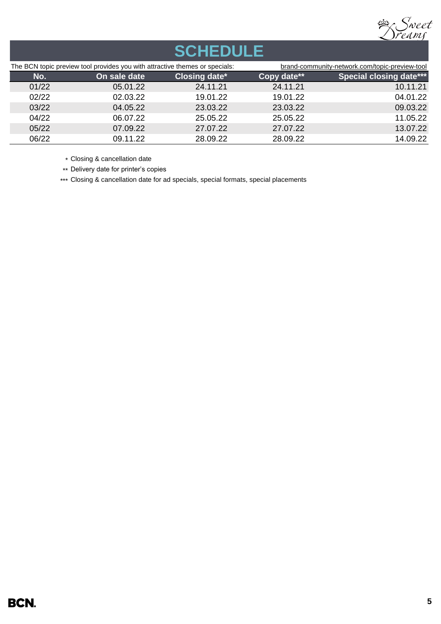

# **SCHEDULE**

| The BCN topic preview tool provides you with attractive themes or specials: |              |               | brand-community-network.com/topic-preview-tool |                                |  |
|-----------------------------------------------------------------------------|--------------|---------------|------------------------------------------------|--------------------------------|--|
| No.                                                                         | On sale date | Closing date* | Copy date**                                    | <b>Special closing date***</b> |  |
| 01/22                                                                       | 05.01.22     | 24.11.21      | 24.11.21                                       | 10.11.21                       |  |
| 02/22                                                                       | 02.03.22     | 19.01.22      | 19.01.22                                       | 04.01.22                       |  |
| 03/22                                                                       | 04.05.22     | 23.03.22      | 23.03.22                                       | 09.03.22                       |  |
| 04/22                                                                       | 06.07.22     | 25.05.22      | 25.05.22                                       | 11.05.22                       |  |
| 05/22                                                                       | 07.09.22     | 27.07.22      | 27.07.22                                       | 13.07.22                       |  |
| 06/22                                                                       | 09.11.22     | 28.09.22      | 28.09.22                                       | 14.09.22                       |  |

\* Closing & cancellation date

\*\* Delivery date for printer's copies

\*\*\* Closing & cancellation date for ad specials, special formats, special placements